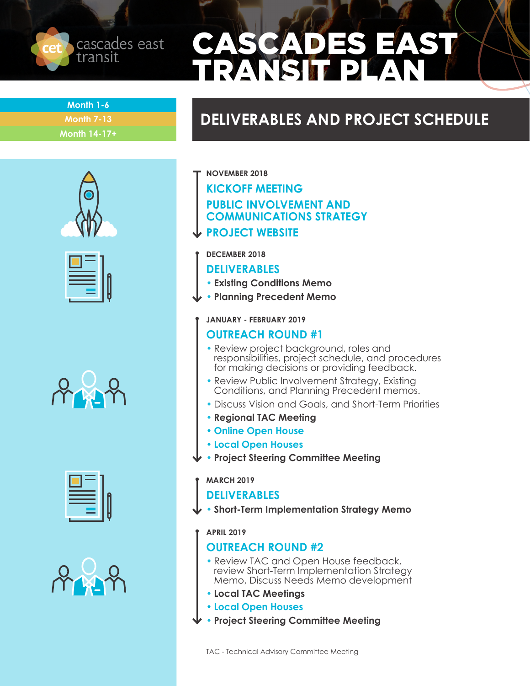

# ASCADES EAST TRANSIT PLAN

**Month 1-6 Month 7-13 Month 14-17+**

# **DELIVERABLES AND PROJECT SCHEDULE**











- **NOVEMBER 2018**
	- **KICKOFF MEETING**
	- **PUBLIC INVOLVEMENT AND**
	- **COMMUNICATIONS STRATEGY**
- **PROJECT WEBSITE**
- **DECEMBER 2018**

#### **DELIVERABLES**

- **• Existing Conditions Memo**
- **• Planning Precedent Memo**
	- **JANUARY FEBRUARY 2019**

#### **OUTREACH ROUND #1**

- Review project background, roles and responsibilities, project schedule, and procedures for making decisions or providing feedback.
- Review Public Involvement Strategy, Existing Conditions, and Planning Precedent memos.
- Discuss Vision and Goals, and Short-Term Priorities
- **• Regional TAC Meeting**
- **• Online Open House**
- **• Local Open Houses**
- **• Project Steering Committee Meeting**

#### **MARCH 2019**

#### **DELIVERABLES**

**• Short-Term Implementation Strategy Memo**

#### **APRIL 2019**

### **OUTREACH ROUND #2**

- Review TAC and Open House feedback, review Short-Term Implementation Strategy Memo, Discuss Needs Memo development
- **• Local TAC Meetings**
- **• Local Open Houses**
- **• Project Steering Committee Meeting**